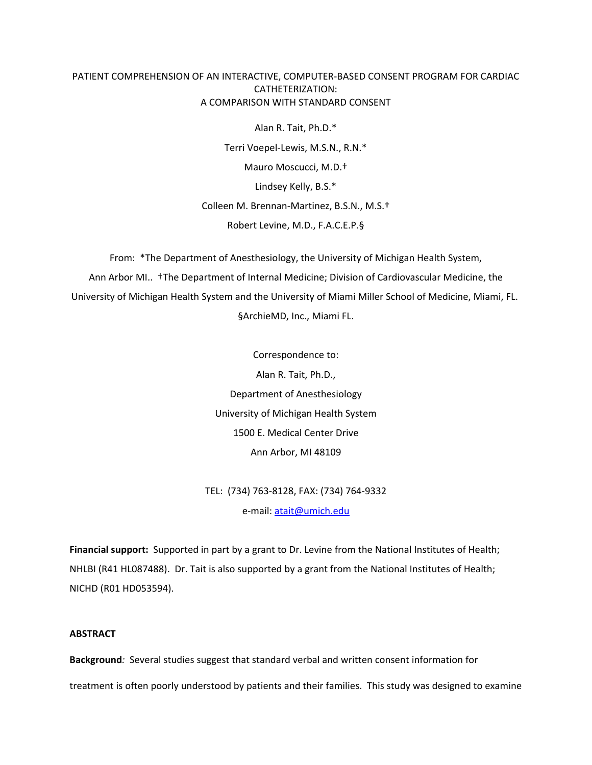## PATIENT COMPREHENSION OF AN INTERACTIVE, COMPUTER‐BASED CONSENT PROGRAM FOR CARDIAC CATHETERIZATION: A COMPARISON WITH STANDARD CONSENT

Alan R. Tait, Ph.D.\*

Terri Voepel‐Lewis, M.S.N., R.N.\*

Mauro Moscucci, M.D.†

Lindsey Kelly, B.S.\*

Colleen M. Brennan‐Martinez, B.S.N., M.S.†

Robert Levine, M.D., F.A.C.E.P.§

From: \*The Department of Anesthesiology, the University of Michigan Health System, Ann Arbor MI.. †The Department of Internal Medicine; Division of Cardiovascular Medicine, the University of Michigan Health System and the University of Miami Miller School of Medicine, Miami, FL. §ArchieMD, Inc., Miami FL.

> Correspondence to: Alan R. Tait, Ph.D., Department of Anesthesiology University of Michigan Health System 1500 E. Medical Center Drive Ann Arbor, MI 48109

TEL: (734) 763‐8128, FAX: (734) 764‐9332 e‐mail: [atait@umich.edu](mailto:atait@umich.edu)

**Financial support:** Supported in part by a grant to Dr. Levine from the National Institutes of Health; NHLBI (R41 HL087488). Dr. Tait is also supported by a grant from the National Institutes of Health; NICHD (R01 HD053594).

## **ABSTRACT**

**Background***:* Several studies suggest that standard verbal and written consent information for treatment is often poorly understood by patients and their families. This study was designed to examine